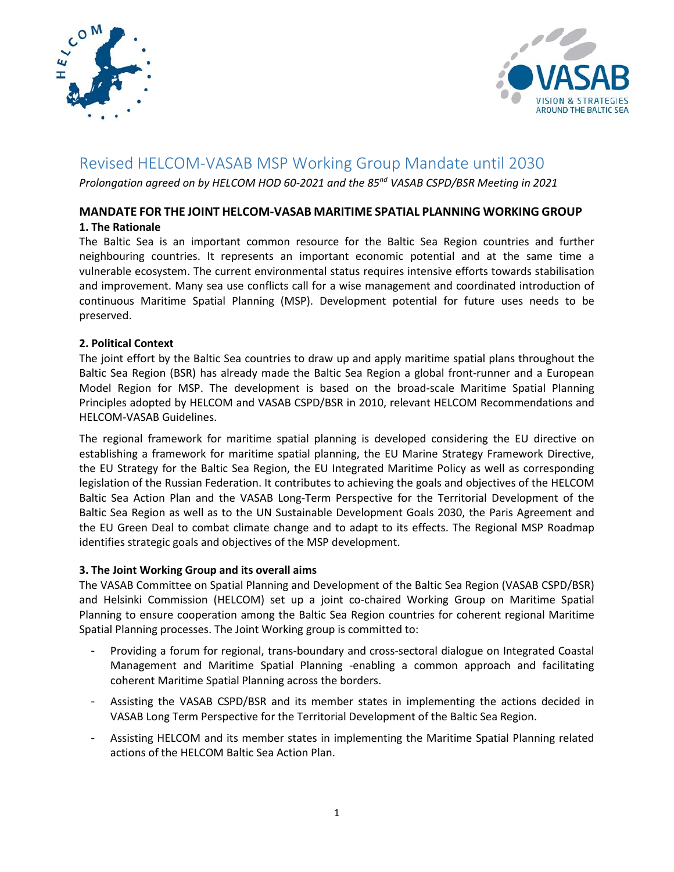



# Revised HELCOM-VASAB MSP Working Group Mandate until 2030

*Prolongation agreed on by HELCOM HOD 60-2021 and the 85nd VASAB CSPD/BSR Meeting in 2021*

# **MANDATE FOR THE JOINT HELCOM-VASAB MARITIME SPATIAL PLANNING WORKING GROUP**

# **1. The Rationale**

The Baltic Sea is an important common resource for the Baltic Sea Region countries and further neighbouring countries. It represents an important economic potential and at the same time a vulnerable ecosystem. The current environmental status requires intensive efforts towards stabilisation and improvement. Many sea use conflicts call for a wise management and coordinated introduction of continuous Maritime Spatial Planning (MSP). Development potential for future uses needs to be preserved.

# **2. Political Context**

The joint effort by the Baltic Sea countries to draw up and apply maritime spatial plans throughout the Baltic Sea Region (BSR) has already made the Baltic Sea Region a global front-runner and a European Model Region for MSP. The development is based on the broad-scale Maritime Spatial Planning Principles adopted by HELCOM and VASAB CSPD/BSR in 2010, relevant HELCOM Recommendations and HELCOM-VASAB Guidelines.

The regional framework for maritime spatial planning is developed considering the EU directive on establishing a framework for maritime spatial planning, the EU Marine Strategy Framework Directive, the EU Strategy for the Baltic Sea Region, the EU Integrated Maritime Policy as well as corresponding legislation of the Russian Federation. It contributes to achieving the goals and objectives of the HELCOM Baltic Sea Action Plan and the VASAB Long-Term Perspective for the Territorial Development of the Baltic Sea Region as well as to the UN Sustainable Development Goals 2030, the Paris Agreement and the EU Green Deal to combat climate change and to adapt to its effects. The Regional MSP Roadmap identifies strategic goals and objectives of the MSP development.

#### **3. The Joint Working Group and its overall aims**

The VASAB Committee on Spatial Planning and Development of the Baltic Sea Region (VASAB CSPD/BSR) and Helsinki Commission (HELCOM) set up a joint co-chaired Working Group on Maritime Spatial Planning to ensure cooperation among the Baltic Sea Region countries for coherent regional Maritime Spatial Planning processes. The Joint Working group is committed to:

- Providing a forum for regional, trans-boundary and cross-sectoral dialogue on Integrated Coastal Management and Maritime Spatial Planning -enabling a common approach and facilitating coherent Maritime Spatial Planning across the borders.
- Assisting the VASAB CSPD/BSR and its member states in implementing the actions decided in VASAB Long Term Perspective for the Territorial Development of the Baltic Sea Region.
- Assisting HELCOM and its member states in implementing the Maritime Spatial Planning related actions of the HELCOM Baltic Sea Action Plan.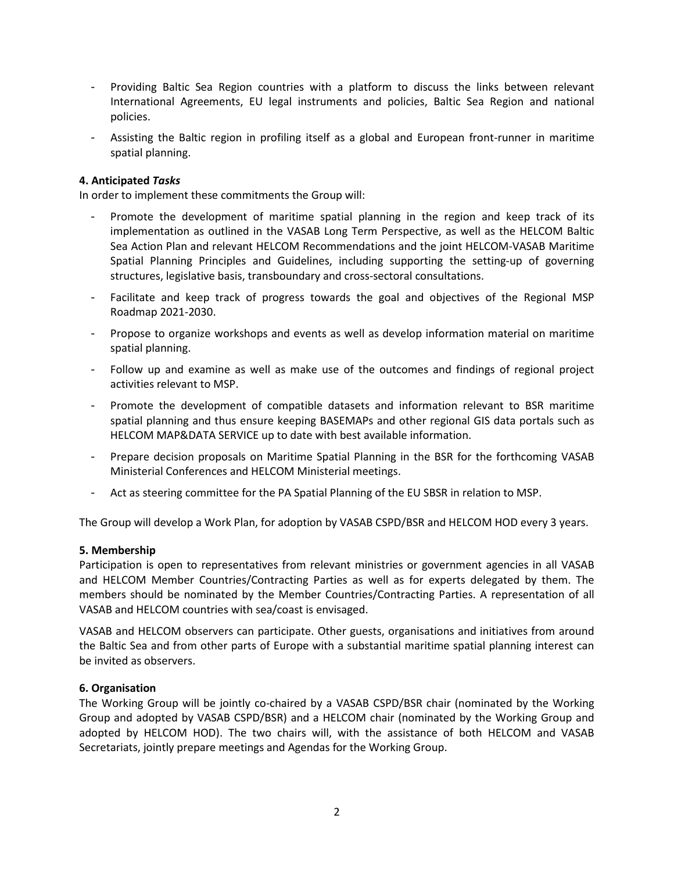- Providing Baltic Sea Region countries with a platform to discuss the links between relevant International Agreements, EU legal instruments and policies, Baltic Sea Region and national policies.
- Assisting the Baltic region in profiling itself as a global and European front-runner in maritime spatial planning.

#### **4. Anticipated** *Tasks*

In order to implement these commitments the Group will:

- Promote the development of maritime spatial planning in the region and keep track of its implementation as outlined in the VASAB Long Term Perspective, as well as the HELCOM Baltic Sea Action Plan and relevant HELCOM Recommendations and the joint HELCOM-VASAB Maritime Spatial Planning Principles and Guidelines, including supporting the setting-up of governing structures, legislative basis, transboundary and cross-sectoral consultations.
- Facilitate and keep track of progress towards the goal and objectives of the Regional MSP Roadmap 2021-2030.
- Propose to organize workshops and events as well as develop information material on maritime spatial planning.
- Follow up and examine as well as make use of the outcomes and findings of regional project activities relevant to MSP.
- Promote the development of compatible datasets and information relevant to BSR maritime spatial planning and thus ensure keeping BASEMAPs and other regional GIS data portals such as HELCOM MAP&DATA SERVICE up to date with best available information.
- Prepare decision proposals on Maritime Spatial Planning in the BSR for the forthcoming VASAB Ministerial Conferences and HELCOM Ministerial meetings.
- Act as steering committee for the PA Spatial Planning of the EU SBSR in relation to MSP.

The Group will develop a Work Plan, for adoption by VASAB CSPD/BSR and HELCOM HOD every 3 years.

#### **5. Membership**

Participation is open to representatives from relevant ministries or government agencies in all VASAB and HELCOM Member Countries/Contracting Parties as well as for experts delegated by them. The members should be nominated by the Member Countries/Contracting Parties. A representation of all VASAB and HELCOM countries with sea/coast is envisaged.

VASAB and HELCOM observers can participate. Other guests, organisations and initiatives from around the Baltic Sea and from other parts of Europe with a substantial maritime spatial planning interest can be invited as observers.

#### **6. Organisation**

The Working Group will be jointly co-chaired by a VASAB CSPD/BSR chair (nominated by the Working Group and adopted by VASAB CSPD/BSR) and a HELCOM chair (nominated by the Working Group and adopted by HELCOM HOD). The two chairs will, with the assistance of both HELCOM and VASAB Secretariats, jointly prepare meetings and Agendas for the Working Group.